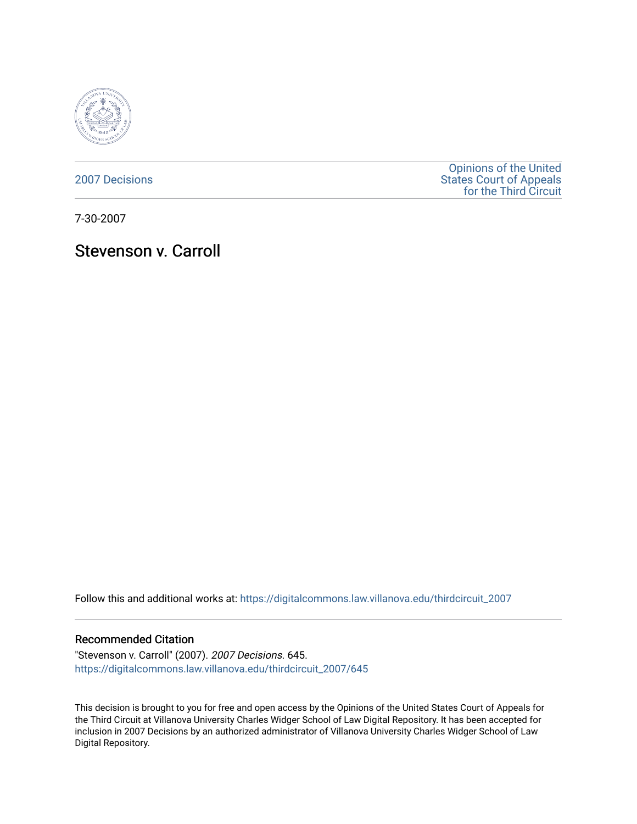

[2007 Decisions](https://digitalcommons.law.villanova.edu/thirdcircuit_2007)

[Opinions of the United](https://digitalcommons.law.villanova.edu/thirdcircuit)  [States Court of Appeals](https://digitalcommons.law.villanova.edu/thirdcircuit)  [for the Third Circuit](https://digitalcommons.law.villanova.edu/thirdcircuit) 

7-30-2007

Stevenson v. Carroll

Follow this and additional works at: [https://digitalcommons.law.villanova.edu/thirdcircuit\\_2007](https://digitalcommons.law.villanova.edu/thirdcircuit_2007?utm_source=digitalcommons.law.villanova.edu%2Fthirdcircuit_2007%2F645&utm_medium=PDF&utm_campaign=PDFCoverPages) 

### Recommended Citation

"Stevenson v. Carroll" (2007). 2007 Decisions. 645. [https://digitalcommons.law.villanova.edu/thirdcircuit\\_2007/645](https://digitalcommons.law.villanova.edu/thirdcircuit_2007/645?utm_source=digitalcommons.law.villanova.edu%2Fthirdcircuit_2007%2F645&utm_medium=PDF&utm_campaign=PDFCoverPages)

This decision is brought to you for free and open access by the Opinions of the United States Court of Appeals for the Third Circuit at Villanova University Charles Widger School of Law Digital Repository. It has been accepted for inclusion in 2007 Decisions by an authorized administrator of Villanova University Charles Widger School of Law Digital Repository.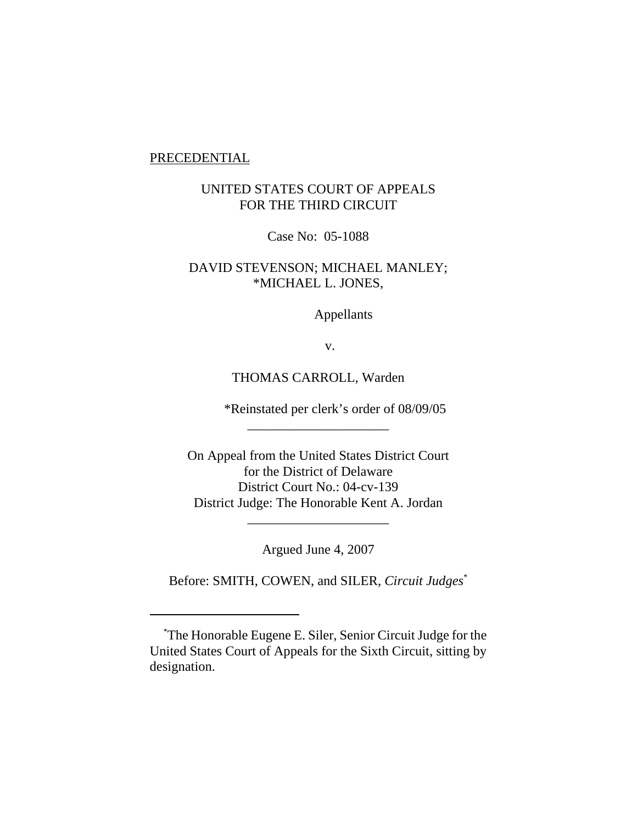### PRECEDENTIAL

# UNITED STATES COURT OF APPEALS FOR THE THIRD CIRCUIT

Case No: 05-1088

# DAVID STEVENSON; MICHAEL MANLEY; \*MICHAEL L. JONES,

Appellants

v.

## THOMAS CARROLL, Warden

\_\_\_\_\_\_\_\_\_\_\_\_\_\_\_\_\_\_\_\_\_

\*Reinstated per clerk's order of 08/09/05

On Appeal from the United States District Court for the District of Delaware District Court No.: 04-cv-139 District Judge: The Honorable Kent A. Jordan

Argued June 4, 2007

\_\_\_\_\_\_\_\_\_\_\_\_\_\_\_\_\_\_\_\_\_

Before: SMITH, COWEN, and SILER, *Circuit Judges*\*

 <sup>\*</sup> The Honorable Eugene E. Siler, Senior Circuit Judge for the United States Court of Appeals for the Sixth Circuit, sitting by designation.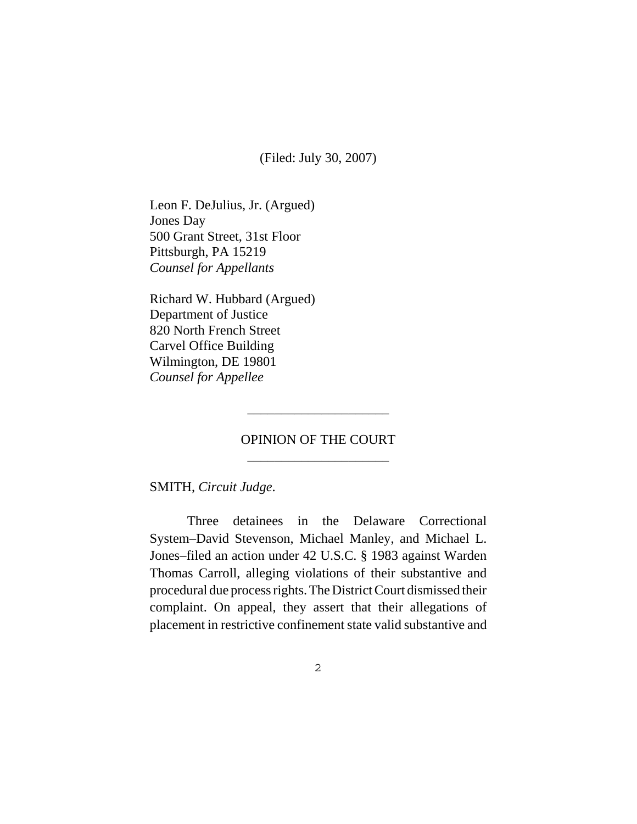(Filed: July 30, 2007)

Leon F. DeJulius, Jr. (Argued) Jones Day 500 Grant Street, 31st Floor Pittsburgh, PA 15219 *Counsel for Appellants*

Richard W. Hubbard (Argued) Department of Justice 820 North French Street Carvel Office Building Wilmington, DE 19801 *Counsel for Appellee*

# OPINION OF THE COURT \_\_\_\_\_\_\_\_\_\_\_\_\_\_\_\_\_\_\_\_\_

\_\_\_\_\_\_\_\_\_\_\_\_\_\_\_\_\_\_\_\_\_

SMITH, *Circuit Judge*.

Three detainees in the Delaware Correctional System–David Stevenson, Michael Manley, and Michael L. Jones–filed an action under 42 U.S.C. § 1983 against Warden Thomas Carroll, alleging violations of their substantive and procedural due process rights. The District Court dismissed their complaint. On appeal, they assert that their allegations of placement in restrictive confinement state valid substantive and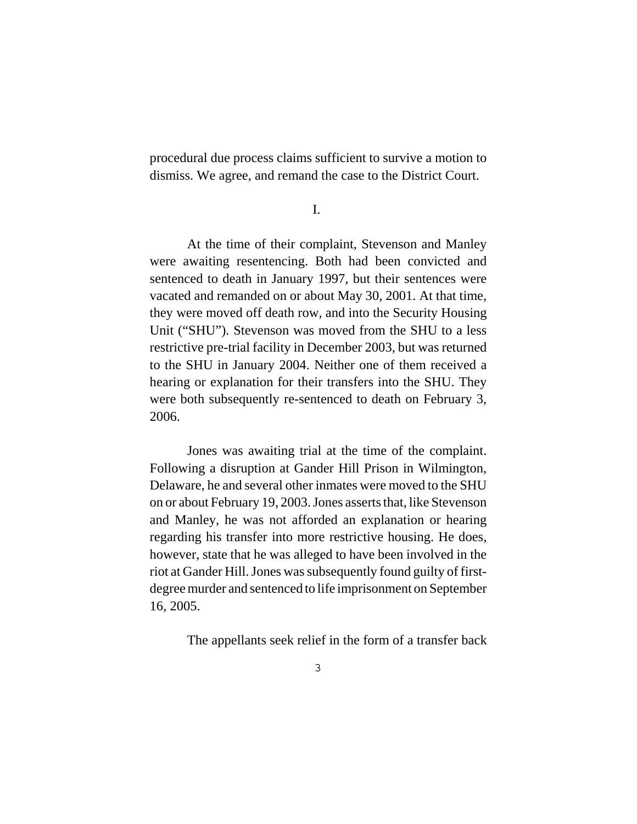procedural due process claims sufficient to survive a motion to dismiss. We agree, and remand the case to the District Court.

I.

At the time of their complaint, Stevenson and Manley were awaiting resentencing. Both had been convicted and sentenced to death in January 1997, but their sentences were vacated and remanded on or about May 30, 2001. At that time, they were moved off death row, and into the Security Housing Unit ("SHU"). Stevenson was moved from the SHU to a less restrictive pre-trial facility in December 2003, but was returned to the SHU in January 2004. Neither one of them received a hearing or explanation for their transfers into the SHU. They were both subsequently re-sentenced to death on February 3, 2006.

Jones was awaiting trial at the time of the complaint. Following a disruption at Gander Hill Prison in Wilmington, Delaware, he and several other inmates were moved to the SHU on or about February 19, 2003. Jones asserts that, like Stevenson and Manley, he was not afforded an explanation or hearing regarding his transfer into more restrictive housing. He does, however, state that he was alleged to have been involved in the riot at Gander Hill. Jones was subsequently found guilty of firstdegree murder and sentenced to life imprisonment on September 16, 2005.

The appellants seek relief in the form of a transfer back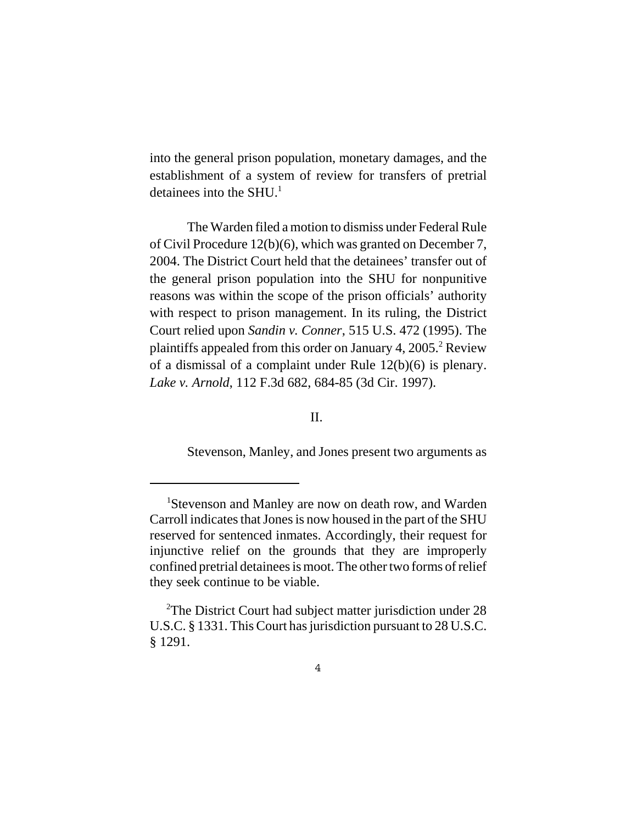into the general prison population, monetary damages, and the establishment of a system of review for transfers of pretrial detainees into the SHU $<sup>1</sup>$ </sup>

The Warden filed a motion to dismiss under Federal Rule of Civil Procedure 12(b)(6), which was granted on December 7, 2004. The District Court held that the detainees' transfer out of the general prison population into the SHU for nonpunitive reasons was within the scope of the prison officials' authority with respect to prison management. In its ruling, the District Court relied upon *Sandin v. Conner*, 515 U.S. 472 (1995). The plaintiffs appealed from this order on January 4,  $2005<sup>2</sup>$  Review of a dismissal of a complaint under Rule 12(b)(6) is plenary. *Lake v. Arnold*, 112 F.3d 682, 684-85 (3d Cir. 1997).

II.

Stevenson, Manley, and Jones present two arguments as

<sup>&</sup>lt;sup>1</sup>Stevenson and Manley are now on death row, and Warden Carroll indicates that Jones is now housed in the part of the SHU reserved for sentenced inmates. Accordingly, their request for injunctive relief on the grounds that they are improperly confined pretrial detainees is moot. The other two forms of relief they seek continue to be viable.

<sup>&</sup>lt;sup>2</sup>The District Court had subject matter jurisdiction under 28 U.S.C. § 1331. This Court has jurisdiction pursuant to 28 U.S.C. § 1291.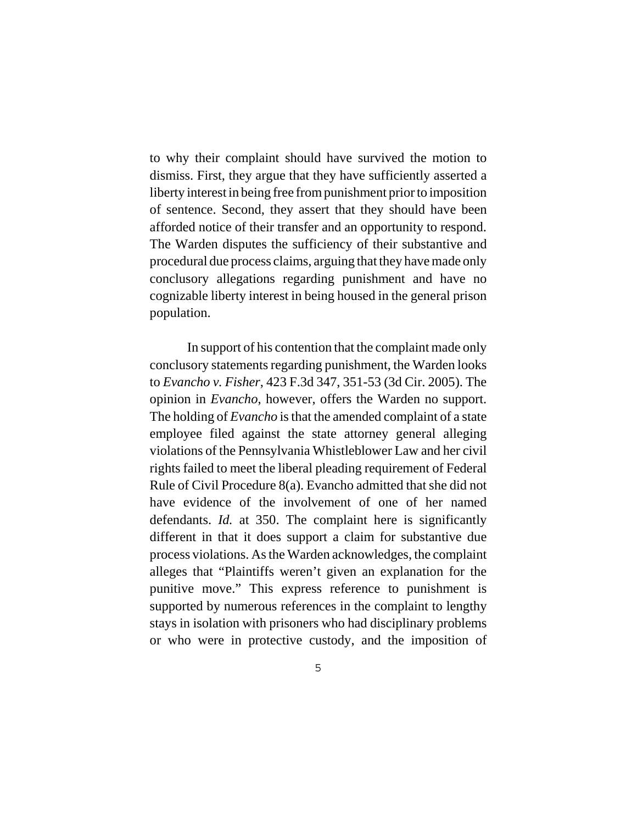to why their complaint should have survived the motion to dismiss. First, they argue that they have sufficiently asserted a liberty interest in being free from punishment prior to imposition of sentence. Second, they assert that they should have been afforded notice of their transfer and an opportunity to respond. The Warden disputes the sufficiency of their substantive and procedural due process claims, arguing that they have made only conclusory allegations regarding punishment and have no cognizable liberty interest in being housed in the general prison population.

In support of his contention that the complaint made only conclusory statements regarding punishment, the Warden looks to *Evancho v. Fisher*, 423 F.3d 347, 351-53 (3d Cir. 2005). The opinion in *Evancho*, however, offers the Warden no support. The holding of *Evancho* is that the amended complaint of a state employee filed against the state attorney general alleging violations of the Pennsylvania Whistleblower Law and her civil rights failed to meet the liberal pleading requirement of Federal Rule of Civil Procedure 8(a). Evancho admitted that she did not have evidence of the involvement of one of her named defendants. *Id.* at 350. The complaint here is significantly different in that it does support a claim for substantive due process violations. As the Warden acknowledges, the complaint alleges that "Plaintiffs weren't given an explanation for the punitive move." This express reference to punishment is supported by numerous references in the complaint to lengthy stays in isolation with prisoners who had disciplinary problems or who were in protective custody, and the imposition of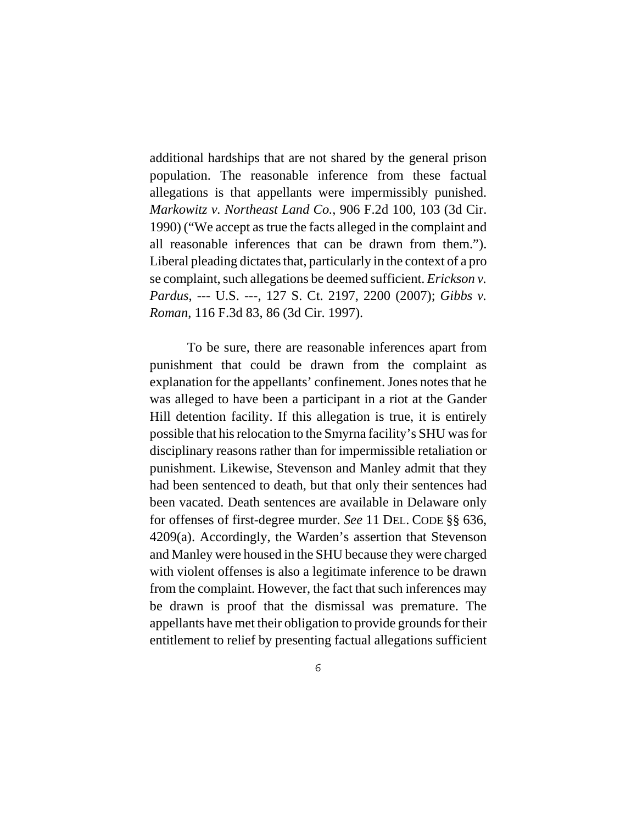additional hardships that are not shared by the general prison population. The reasonable inference from these factual allegations is that appellants were impermissibly punished. *Markowitz v. Northeast Land Co.*, 906 F.2d 100, 103 (3d Cir. 1990) ("We accept as true the facts alleged in the complaint and all reasonable inferences that can be drawn from them."). Liberal pleading dictates that, particularly in the context of a pro se complaint, such allegations be deemed sufficient. *Erickson v. Pardus*, --- U.S. ---, 127 S. Ct. 2197, 2200 (2007); *Gibbs v. Roman*, 116 F.3d 83, 86 (3d Cir. 1997).

To be sure, there are reasonable inferences apart from punishment that could be drawn from the complaint as explanation for the appellants' confinement. Jones notes that he was alleged to have been a participant in a riot at the Gander Hill detention facility. If this allegation is true, it is entirely possible that his relocation to the Smyrna facility's SHU was for disciplinary reasons rather than for impermissible retaliation or punishment. Likewise, Stevenson and Manley admit that they had been sentenced to death, but that only their sentences had been vacated. Death sentences are available in Delaware only for offenses of first-degree murder. *See* 11 DEL. CODE §§ 636, 4209(a). Accordingly, the Warden's assertion that Stevenson and Manley were housed in the SHU because they were charged with violent offenses is also a legitimate inference to be drawn from the complaint. However, the fact that such inferences may be drawn is proof that the dismissal was premature. The appellants have met their obligation to provide grounds for their entitlement to relief by presenting factual allegations sufficient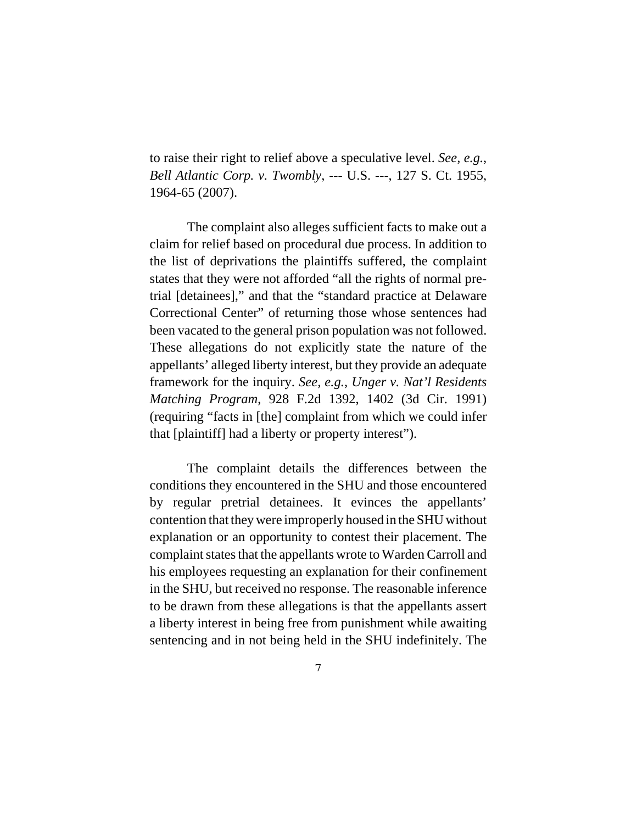to raise their right to relief above a speculative level. *See, e.g.*, *Bell Atlantic Corp. v. Twombly*, --- U.S. ---, 127 S. Ct. 1955, 1964-65 (2007).

The complaint also alleges sufficient facts to make out a claim for relief based on procedural due process. In addition to the list of deprivations the plaintiffs suffered, the complaint states that they were not afforded "all the rights of normal pretrial [detainees]," and that the "standard practice at Delaware Correctional Center" of returning those whose sentences had been vacated to the general prison population was not followed. These allegations do not explicitly state the nature of the appellants' alleged liberty interest, but they provide an adequate framework for the inquiry. *See, e.g.*, *Unger v. Nat'l Residents Matching Program*, 928 F.2d 1392, 1402 (3d Cir. 1991) (requiring "facts in [the] complaint from which we could infer that [plaintiff] had a liberty or property interest").

The complaint details the differences between the conditions they encountered in the SHU and those encountered by regular pretrial detainees. It evinces the appellants' contention that they were improperly housed in the SHU without explanation or an opportunity to contest their placement. The complaint states that the appellants wrote to Warden Carroll and his employees requesting an explanation for their confinement in the SHU, but received no response. The reasonable inference to be drawn from these allegations is that the appellants assert a liberty interest in being free from punishment while awaiting sentencing and in not being held in the SHU indefinitely. The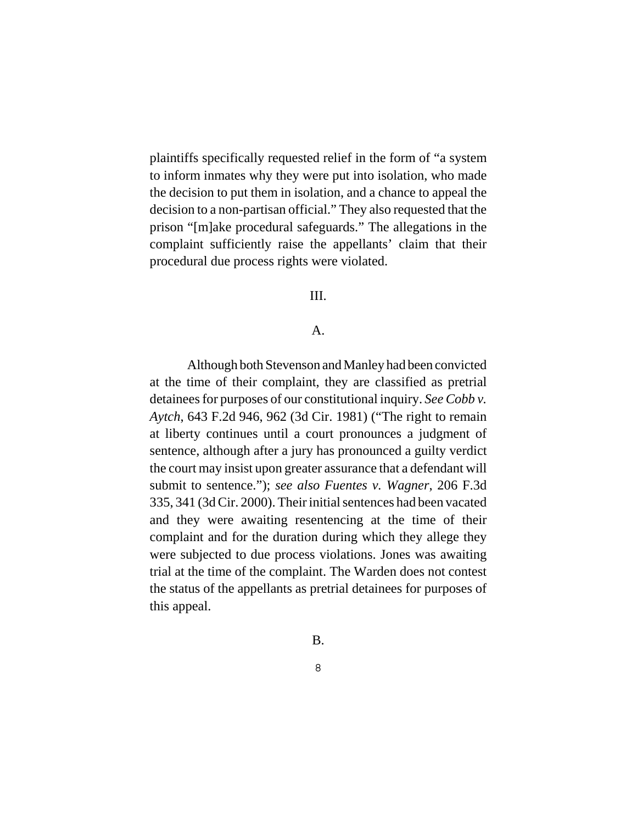plaintiffs specifically requested relief in the form of "a system to inform inmates why they were put into isolation, who made the decision to put them in isolation, and a chance to appeal the decision to a non-partisan official." They also requested that the prison "[m]ake procedural safeguards." The allegations in the complaint sufficiently raise the appellants' claim that their procedural due process rights were violated.

## III.

#### A.

Although both Stevenson and Manley had been convicted at the time of their complaint, they are classified as pretrial detainees for purposes of our constitutional inquiry. *See Cobb v. Aytch*, 643 F.2d 946, 962 (3d Cir. 1981) ("The right to remain at liberty continues until a court pronounces a judgment of sentence, although after a jury has pronounced a guilty verdict the court may insist upon greater assurance that a defendant will submit to sentence."); *see also Fuentes v. Wagner*, 206 F.3d 335, 341 (3d Cir. 2000). Their initial sentences had been vacated and they were awaiting resentencing at the time of their complaint and for the duration during which they allege they were subjected to due process violations. Jones was awaiting trial at the time of the complaint. The Warden does not contest the status of the appellants as pretrial detainees for purposes of this appeal.

### B.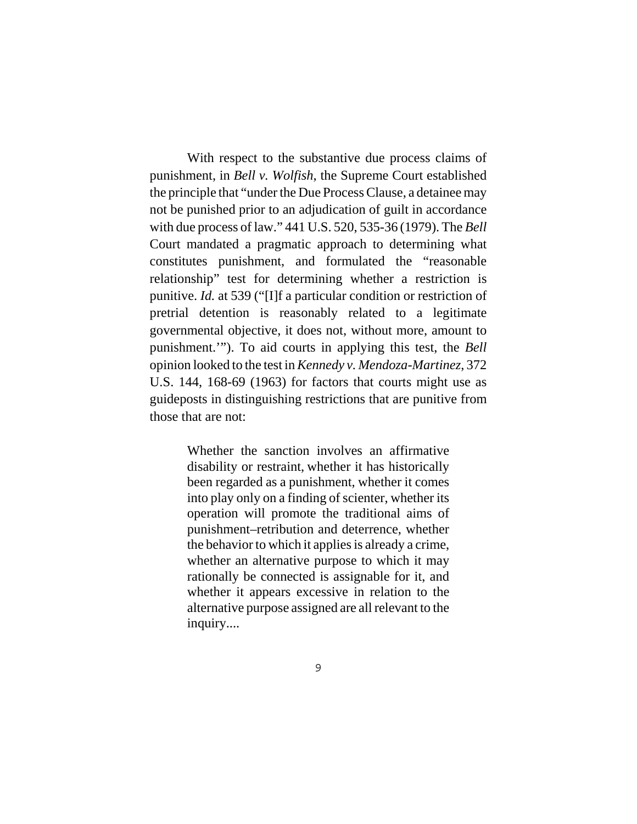With respect to the substantive due process claims of punishment, in *Bell v. Wolfish*, the Supreme Court established the principle that "under the Due Process Clause, a detainee may not be punished prior to an adjudication of guilt in accordance with due process of law." 441 U.S. 520, 535-36 (1979). The *Bell* Court mandated a pragmatic approach to determining what constitutes punishment, and formulated the "reasonable relationship" test for determining whether a restriction is punitive. *Id.* at 539 ("[I]f a particular condition or restriction of pretrial detention is reasonably related to a legitimate governmental objective, it does not, without more, amount to punishment.'"). To aid courts in applying this test, the *Bell* opinion looked to the test in *Kennedy v. Mendoza-Martinez*, 372 U.S. 144, 168-69 (1963) for factors that courts might use as guideposts in distinguishing restrictions that are punitive from those that are not:

> Whether the sanction involves an affirmative disability or restraint, whether it has historically been regarded as a punishment, whether it comes into play only on a finding of scienter, whether its operation will promote the traditional aims of punishment–retribution and deterrence, whether the behavior to which it applies is already a crime, whether an alternative purpose to which it may rationally be connected is assignable for it, and whether it appears excessive in relation to the alternative purpose assigned are all relevant to the inquiry....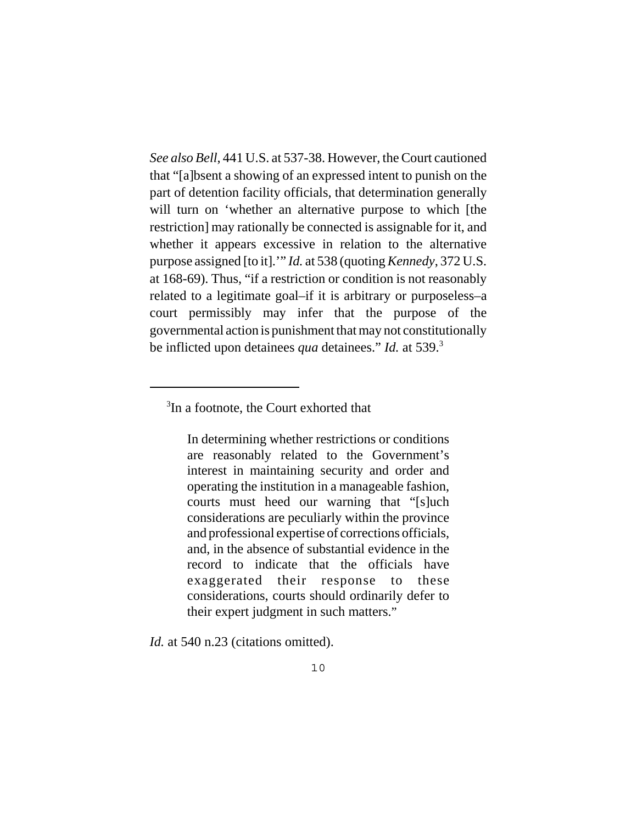*See also Bell*, 441 U.S. at 537-38. However, the Court cautioned that "[a]bsent a showing of an expressed intent to punish on the part of detention facility officials, that determination generally will turn on 'whether an alternative purpose to which [the restriction] may rationally be connected is assignable for it, and whether it appears excessive in relation to the alternative purpose assigned [to it].'" *Id.* at 538 (quoting *Kennedy*, 372 U.S. at 168-69). Thus, "if a restriction or condition is not reasonably related to a legitimate goal–if it is arbitrary or purposeless–a court permissibly may infer that the purpose of the governmental action is punishment that may not constitutionally be inflicted upon detainees *qua* detainees." *Id.* at 539.3

In determining whether restrictions or conditions are reasonably related to the Government's interest in maintaining security and order and operating the institution in a manageable fashion, courts must heed our warning that "[s]uch considerations are peculiarly within the province and professional expertise of corrections officials, and, in the absence of substantial evidence in the record to indicate that the officials have exaggerated their response to these considerations, courts should ordinarily defer to their expert judgment in such matters."

*Id.* at 540 n.23 (citations omitted).

<sup>&</sup>lt;sup>3</sup>In a footnote, the Court exhorted that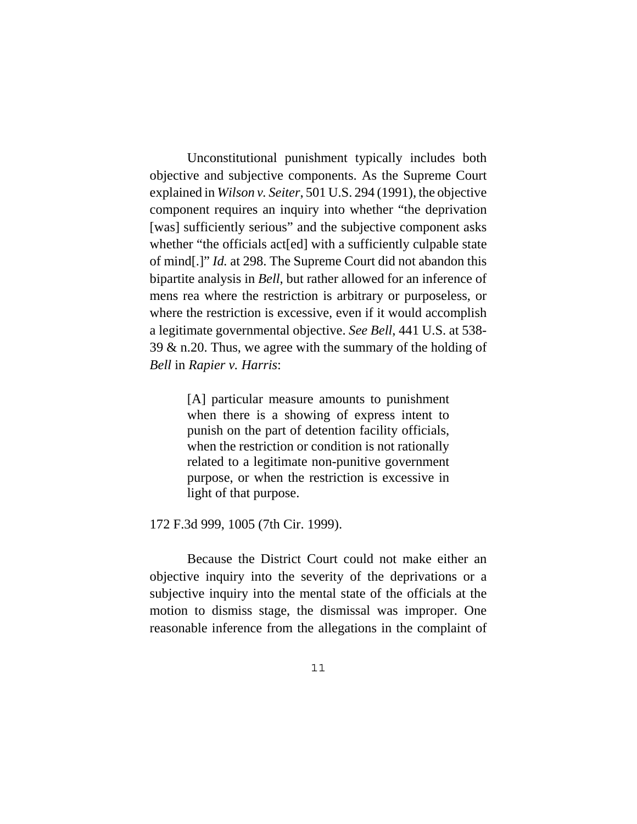Unconstitutional punishment typically includes both objective and subjective components. As the Supreme Court explained in *Wilson v. Seiter*, 501 U.S. 294 (1991), the objective component requires an inquiry into whether "the deprivation [was] sufficiently serious" and the subjective component asks whether "the officials act [ed] with a sufficiently culpable state of mind[.]" *Id.* at 298. The Supreme Court did not abandon this bipartite analysis in *Bell*, but rather allowed for an inference of mens rea where the restriction is arbitrary or purposeless, or where the restriction is excessive, even if it would accomplish a legitimate governmental objective. *See Bell*, 441 U.S. at 538- 39 & n.20. Thus, we agree with the summary of the holding of *Bell* in *Rapier v. Harris*:

> [A] particular measure amounts to punishment when there is a showing of express intent to punish on the part of detention facility officials, when the restriction or condition is not rationally related to a legitimate non-punitive government purpose, or when the restriction is excessive in light of that purpose.

172 F.3d 999, 1005 (7th Cir. 1999).

Because the District Court could not make either an objective inquiry into the severity of the deprivations or a subjective inquiry into the mental state of the officials at the motion to dismiss stage, the dismissal was improper. One reasonable inference from the allegations in the complaint of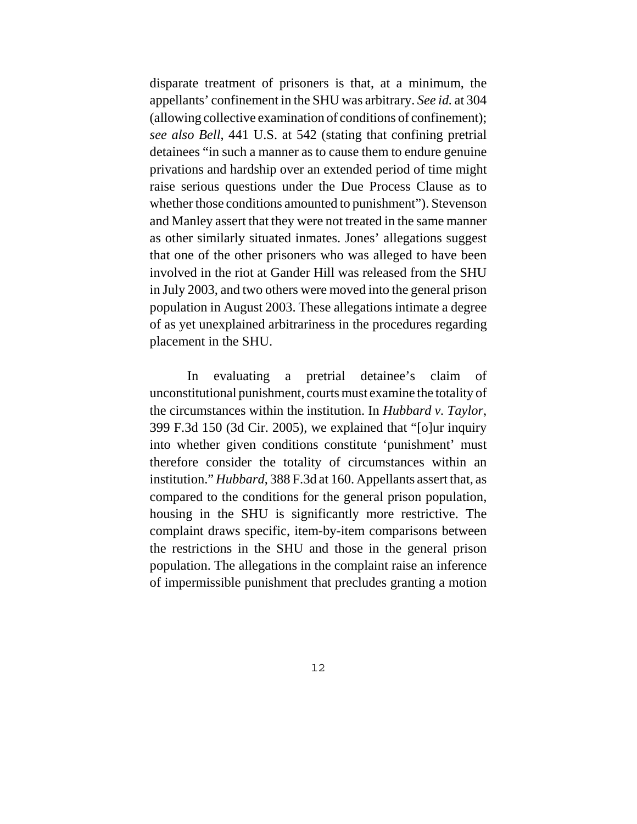disparate treatment of prisoners is that, at a minimum, the appellants' confinement in the SHU was arbitrary. *See id.* at 304 (allowing collective examination of conditions of confinement); *see also Bell*, 441 U.S. at 542 (stating that confining pretrial detainees "in such a manner as to cause them to endure genuine privations and hardship over an extended period of time might raise serious questions under the Due Process Clause as to whether those conditions amounted to punishment"). Stevenson and Manley assert that they were not treated in the same manner as other similarly situated inmates. Jones' allegations suggest that one of the other prisoners who was alleged to have been involved in the riot at Gander Hill was released from the SHU in July 2003, and two others were moved into the general prison population in August 2003. These allegations intimate a degree of as yet unexplained arbitrariness in the procedures regarding placement in the SHU.

In evaluating a pretrial detainee's claim of unconstitutional punishment, courts must examine the totality of the circumstances within the institution. In *Hubbard v. Taylor*, 399 F.3d 150 (3d Cir. 2005), we explained that "[o]ur inquiry into whether given conditions constitute 'punishment' must therefore consider the totality of circumstances within an institution." *Hubbard*, 388 F.3d at 160. Appellants assert that, as compared to the conditions for the general prison population, housing in the SHU is significantly more restrictive. The complaint draws specific, item-by-item comparisons between the restrictions in the SHU and those in the general prison population. The allegations in the complaint raise an inference of impermissible punishment that precludes granting a motion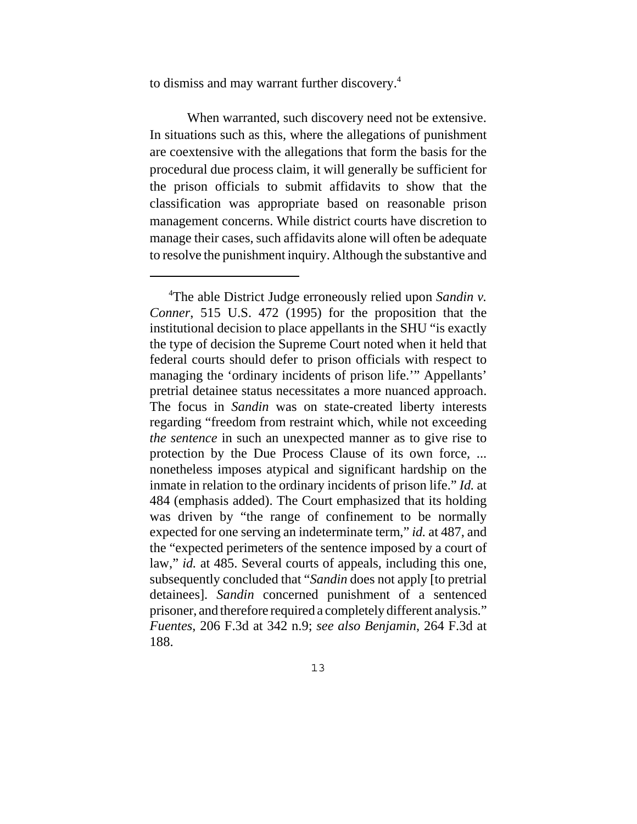to dismiss and may warrant further discovery.4

When warranted, such discovery need not be extensive. In situations such as this, where the allegations of punishment are coextensive with the allegations that form the basis for the procedural due process claim, it will generally be sufficient for the prison officials to submit affidavits to show that the classification was appropriate based on reasonable prison management concerns. While district courts have discretion to manage their cases, such affidavits alone will often be adequate to resolve the punishment inquiry. Although the substantive and

 <sup>4</sup> The able District Judge erroneously relied upon *Sandin v. Conner*, 515 U.S. 472 (1995) for the proposition that the institutional decision to place appellants in the SHU "is exactly the type of decision the Supreme Court noted when it held that federal courts should defer to prison officials with respect to managing the 'ordinary incidents of prison life.'" Appellants' pretrial detainee status necessitates a more nuanced approach. The focus in *Sandin* was on state-created liberty interests regarding "freedom from restraint which, while not exceeding *the sentence* in such an unexpected manner as to give rise to protection by the Due Process Clause of its own force, ... nonetheless imposes atypical and significant hardship on the inmate in relation to the ordinary incidents of prison life." *Id.* at 484 (emphasis added). The Court emphasized that its holding was driven by "the range of confinement to be normally expected for one serving an indeterminate term," *id.* at 487, and the "expected perimeters of the sentence imposed by a court of law," *id.* at 485. Several courts of appeals, including this one, subsequently concluded that "*Sandin* does not apply [to pretrial detainees]. *Sandin* concerned punishment of a sentenced prisoner, and therefore required a completely different analysis." *Fuentes*, 206 F.3d at 342 n.9; *see also Benjamin*, 264 F.3d at 188.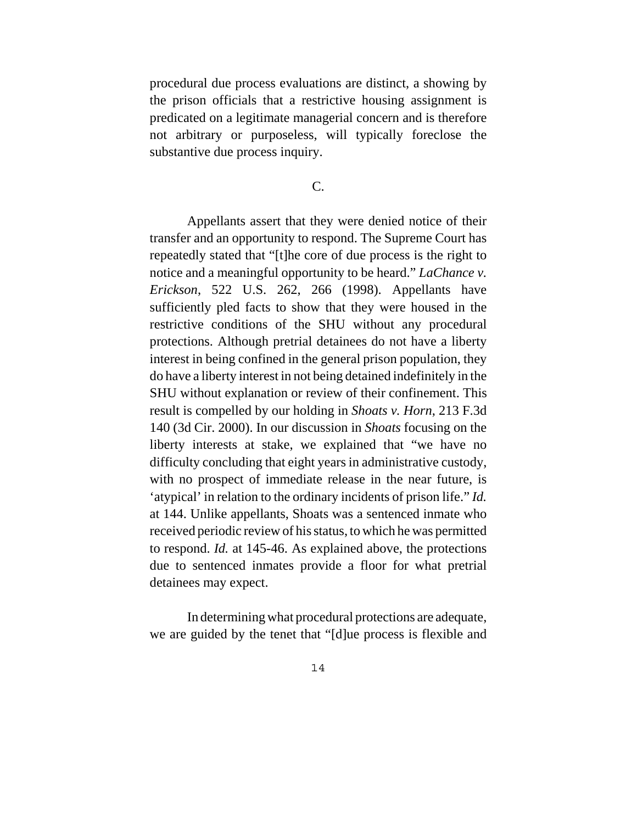procedural due process evaluations are distinct, a showing by the prison officials that a restrictive housing assignment is predicated on a legitimate managerial concern and is therefore not arbitrary or purposeless, will typically foreclose the substantive due process inquiry.

# C.

Appellants assert that they were denied notice of their transfer and an opportunity to respond. The Supreme Court has repeatedly stated that "[t]he core of due process is the right to notice and a meaningful opportunity to be heard." *LaChance v. Erickson*, 522 U.S. 262, 266 (1998). Appellants have sufficiently pled facts to show that they were housed in the restrictive conditions of the SHU without any procedural protections. Although pretrial detainees do not have a liberty interest in being confined in the general prison population, they do have a liberty interest in not being detained indefinitely in the SHU without explanation or review of their confinement. This result is compelled by our holding in *Shoats v. Horn*, 213 F.3d 140 (3d Cir. 2000). In our discussion in *Shoats* focusing on the liberty interests at stake, we explained that "we have no difficulty concluding that eight years in administrative custody, with no prospect of immediate release in the near future, is 'atypical' in relation to the ordinary incidents of prison life." *Id.* at 144. Unlike appellants, Shoats was a sentenced inmate who received periodic review of his status, to which he was permitted to respond. *Id.* at 145-46. As explained above, the protections due to sentenced inmates provide a floor for what pretrial detainees may expect.

In determining what procedural protections are adequate, we are guided by the tenet that "[d]ue process is flexible and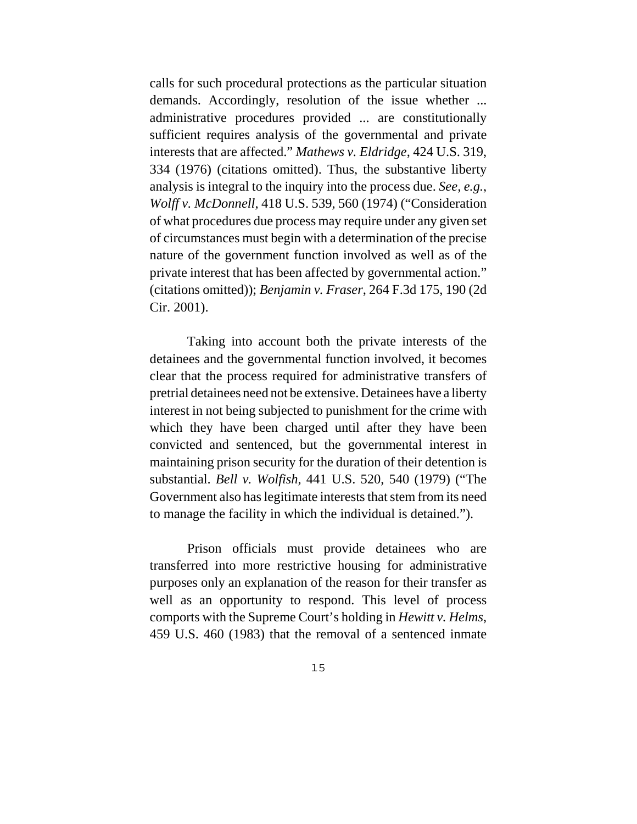calls for such procedural protections as the particular situation demands. Accordingly, resolution of the issue whether ... administrative procedures provided ... are constitutionally sufficient requires analysis of the governmental and private interests that are affected." *Mathews v. Eldridge*, 424 U.S. 319, 334 (1976) (citations omitted). Thus, the substantive liberty analysis is integral to the inquiry into the process due. *See, e.g.*, *Wolff v. McDonnell*, 418 U.S. 539, 560 (1974) ("Consideration of what procedures due process may require under any given set of circumstances must begin with a determination of the precise nature of the government function involved as well as of the private interest that has been affected by governmental action." (citations omitted)); *Benjamin v. Fraser*, 264 F.3d 175, 190 (2d Cir. 2001).

Taking into account both the private interests of the detainees and the governmental function involved, it becomes clear that the process required for administrative transfers of pretrial detainees need not be extensive. Detainees have a liberty interest in not being subjected to punishment for the crime with which they have been charged until after they have been convicted and sentenced, but the governmental interest in maintaining prison security for the duration of their detention is substantial. *Bell v. Wolfish*, 441 U.S. 520, 540 (1979) ("The Government also has legitimate interests that stem from its need to manage the facility in which the individual is detained.").

Prison officials must provide detainees who are transferred into more restrictive housing for administrative purposes only an explanation of the reason for their transfer as well as an opportunity to respond. This level of process comports with the Supreme Court's holding in *Hewitt v. Helms*, 459 U.S. 460 (1983) that the removal of a sentenced inmate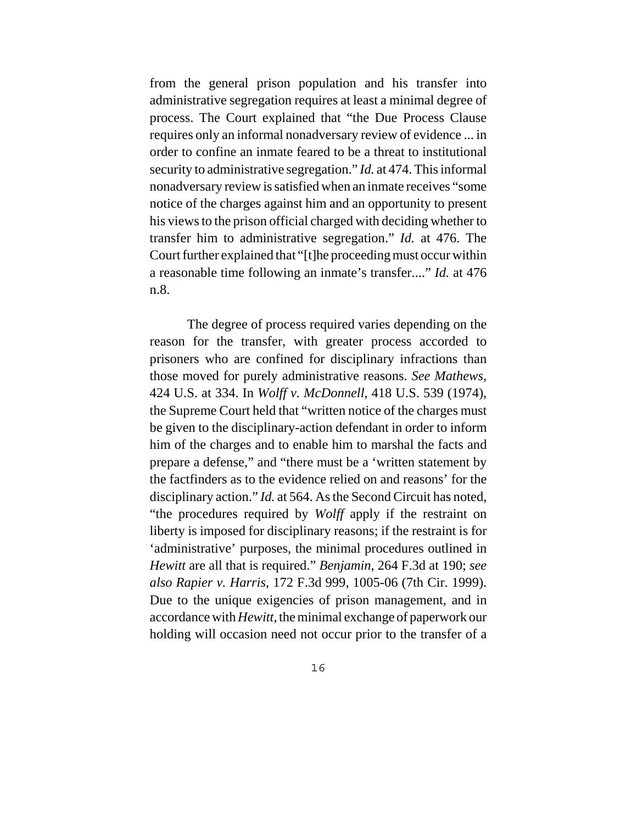from the general prison population and his transfer into administrative segregation requires at least a minimal degree of process. The Court explained that "the Due Process Clause requires only an informal nonadversary review of evidence ... in order to confine an inmate feared to be a threat to institutional security to administrative segregation." *Id.* at 474. This informal nonadversary review is satisfied when an inmate receives "some notice of the charges against him and an opportunity to present his views to the prison official charged with deciding whether to transfer him to administrative segregation." *Id.* at 476. The Court further explained that "[t]he proceeding must occur within a reasonable time following an inmate's transfer...." *Id.* at 476 n.8.

The degree of process required varies depending on the reason for the transfer, with greater process accorded to prisoners who are confined for disciplinary infractions than those moved for purely administrative reasons. *See Mathews*, 424 U.S. at 334. In *Wolff v. McDonnell*, 418 U.S. 539 (1974), the Supreme Court held that "written notice of the charges must be given to the disciplinary-action defendant in order to inform him of the charges and to enable him to marshal the facts and prepare a defense," and "there must be a 'written statement by the factfinders as to the evidence relied on and reasons' for the disciplinary action." *Id.* at 564. As the Second Circuit has noted, "the procedures required by *Wolff* apply if the restraint on liberty is imposed for disciplinary reasons; if the restraint is for 'administrative' purposes, the minimal procedures outlined in *Hewitt* are all that is required." *Benjamin*, 264 F.3d at 190; *see also Rapier v. Harris*, 172 F.3d 999, 1005-06 (7th Cir. 1999). Due to the unique exigencies of prison management, and in accordance with *Hewitt*, the minimal exchange of paperwork our holding will occasion need not occur prior to the transfer of a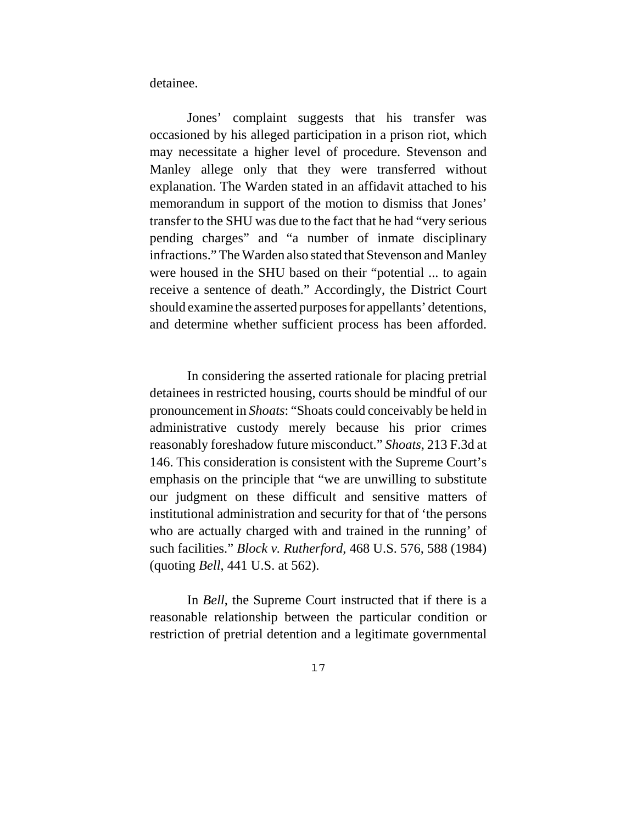detainee.

Jones' complaint suggests that his transfer was occasioned by his alleged participation in a prison riot, which may necessitate a higher level of procedure. Stevenson and Manley allege only that they were transferred without explanation. The Warden stated in an affidavit attached to his memorandum in support of the motion to dismiss that Jones' transfer to the SHU was due to the fact that he had "very serious pending charges" and "a number of inmate disciplinary infractions." The Warden also stated that Stevenson and Manley were housed in the SHU based on their "potential ... to again receive a sentence of death." Accordingly, the District Court should examine the asserted purposes for appellants' detentions, and determine whether sufficient process has been afforded.

In considering the asserted rationale for placing pretrial detainees in restricted housing, courts should be mindful of our pronouncement in *Shoats*: "Shoats could conceivably be held in administrative custody merely because his prior crimes reasonably foreshadow future misconduct." *Shoats*, 213 F.3d at 146. This consideration is consistent with the Supreme Court's emphasis on the principle that "we are unwilling to substitute our judgment on these difficult and sensitive matters of institutional administration and security for that of 'the persons who are actually charged with and trained in the running' of such facilities." *Block v. Rutherford*, 468 U.S. 576, 588 (1984) (quoting *Bell*, 441 U.S. at 562).

In *Bell*, the Supreme Court instructed that if there is a reasonable relationship between the particular condition or restriction of pretrial detention and a legitimate governmental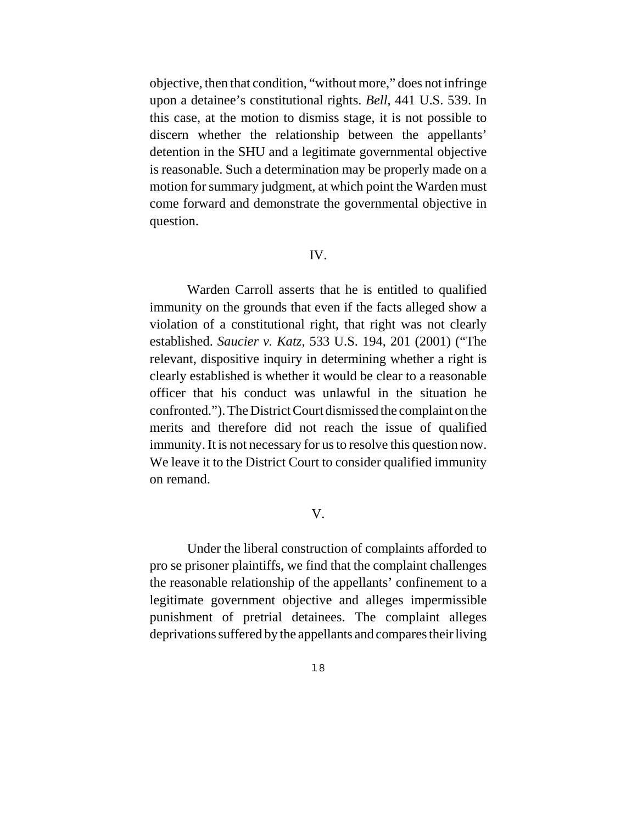objective, then that condition, "without more," does not infringe upon a detainee's constitutional rights. *Bell*, 441 U.S. 539. In this case, at the motion to dismiss stage, it is not possible to discern whether the relationship between the appellants' detention in the SHU and a legitimate governmental objective is reasonable. Such a determination may be properly made on a motion for summary judgment, at which point the Warden must come forward and demonstrate the governmental objective in question.

#### IV.

Warden Carroll asserts that he is entitled to qualified immunity on the grounds that even if the facts alleged show a violation of a constitutional right, that right was not clearly established. *Saucier v. Katz*, 533 U.S. 194, 201 (2001) ("The relevant, dispositive inquiry in determining whether a right is clearly established is whether it would be clear to a reasonable officer that his conduct was unlawful in the situation he confronted."). The District Court dismissed the complaint on the merits and therefore did not reach the issue of qualified immunity. It is not necessary for us to resolve this question now. We leave it to the District Court to consider qualified immunity on remand.

### V.

Under the liberal construction of complaints afforded to pro se prisoner plaintiffs, we find that the complaint challenges the reasonable relationship of the appellants' confinement to a legitimate government objective and alleges impermissible punishment of pretrial detainees. The complaint alleges deprivations suffered by the appellants and compares their living